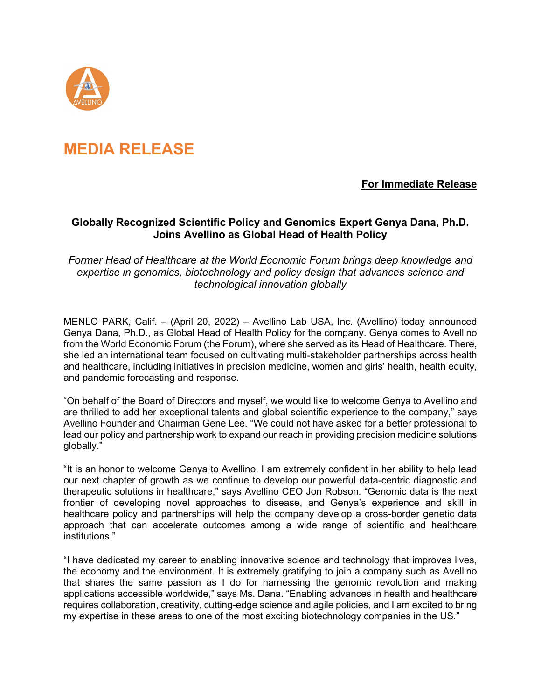

# **MEDIA RELEASE**

## **For Immediate Release**

## **Globally Recognized Scientific Policy and Genomics Expert Genya Dana, Ph.D. Joins Avellino as Global Head of Health Policy**

## *Former Head of Healthcare at the World Economic Forum brings deep knowledge and expertise in genomics, biotechnology and policy design that advances science and technological innovation globally*

MENLO PARK, Calif. – (April 20, 2022) – Avellino Lab USA, Inc. (Avellino) today announced Genya Dana, Ph.D., as Global Head of Health Policy for the company. Genya comes to Avellino from the World Economic Forum (the Forum), where she served as its Head of Healthcare. There, she led an international team focused on cultivating multi-stakeholder partnerships across health and healthcare, including initiatives in precision medicine, women and girls' health, health equity, and pandemic forecasting and response.

"On behalf of the Board of Directors and myself, we would like to welcome Genya to Avellino and are thrilled to add her exceptional talents and global scientific experience to the company," says Avellino Founder and Chairman Gene Lee. "We could not have asked for a better professional to lead our policy and partnership work to expand our reach in providing precision medicine solutions globally."

"It is an honor to welcome Genya to Avellino. I am extremely confident in her ability to help lead our next chapter of growth as we continue to develop our powerful data-centric diagnostic and therapeutic solutions in healthcare," says Avellino CEO Jon Robson. "Genomic data is the next frontier of developing novel approaches to disease, and Genya's experience and skill in healthcare policy and partnerships will help the company develop a cross-border genetic data approach that can accelerate outcomes among a wide range of scientific and healthcare institutions."

"I have dedicated my career to enabling innovative science and technology that improves lives, the economy and the environment. It is extremely gratifying to join a company such as Avellino that shares the same passion as I do for harnessing the genomic revolution and making applications accessible worldwide," says Ms. Dana. "Enabling advances in health and healthcare requires collaboration, creativity, cutting-edge science and agile policies, and I am excited to bring my expertise in these areas to one of the most exciting biotechnology companies in the US."